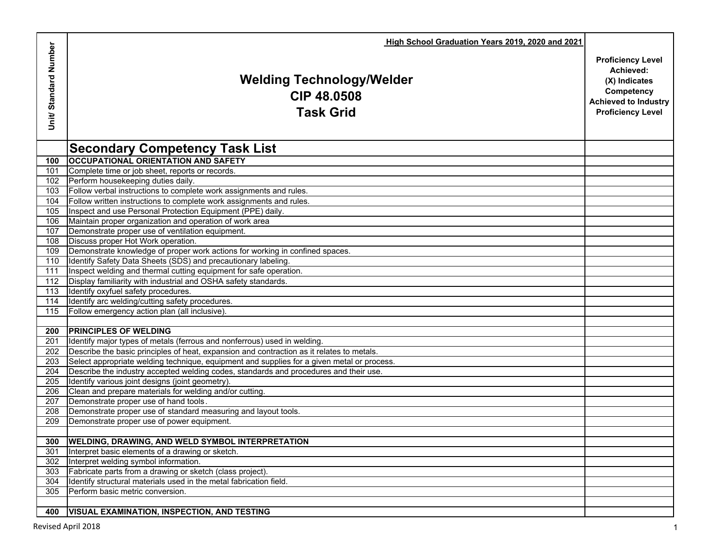|                      | High School Graduation Years 2019, 2020 and 2021                                           |                                                                                                                                 |
|----------------------|--------------------------------------------------------------------------------------------|---------------------------------------------------------------------------------------------------------------------------------|
| Unit/Standard Number | <b>Welding Technology/Welder</b><br>CIP 48.0508<br><b>Task Grid</b>                        | <b>Proficiency Level</b><br>Achieved:<br>(X) Indicates<br>Competency<br><b>Achieved to Industry</b><br><b>Proficiency Level</b> |
|                      | <b>Secondary Competency Task List</b>                                                      |                                                                                                                                 |
| 100                  | <b>OCCUPATIONAL ORIENTATION AND SAFETY</b>                                                 |                                                                                                                                 |
| 101                  | Complete time or job sheet, reports or records.                                            |                                                                                                                                 |
| 102                  | Perform housekeeping duties daily.                                                         |                                                                                                                                 |
| 103                  | Follow verbal instructions to complete work assignments and rules.                         |                                                                                                                                 |
| 104                  | Follow written instructions to complete work assignments and rules.                        |                                                                                                                                 |
| 105                  | Inspect and use Personal Protection Equipment (PPE) daily.                                 |                                                                                                                                 |
| 106                  | Maintain proper organization and operation of work area                                    |                                                                                                                                 |
| 107                  | Demonstrate proper use of ventilation equipment.                                           |                                                                                                                                 |
| 108                  | Discuss proper Hot Work operation.                                                         |                                                                                                                                 |
| 109                  | Demonstrate knowledge of proper work actions for working in confined spaces.               |                                                                                                                                 |
| 110                  | Identify Safety Data Sheets (SDS) and precautionary labeling.                              |                                                                                                                                 |
| 111                  | Inspect welding and thermal cutting equipment for safe operation.                          |                                                                                                                                 |
| 112                  | Display familiarity with industrial and OSHA safety standards.                             |                                                                                                                                 |
| 113                  | Identify oxyfuel safety procedures.                                                        |                                                                                                                                 |
| 114                  | Identify arc welding/cutting safety procedures.                                            |                                                                                                                                 |
| 115                  | Follow emergency action plan (all inclusive)                                               |                                                                                                                                 |
|                      |                                                                                            |                                                                                                                                 |
| 200                  | <b>PRINCIPLES OF WELDING</b>                                                               |                                                                                                                                 |
| 201                  | Identify major types of metals (ferrous and nonferrous) used in welding.                   |                                                                                                                                 |
| 202                  | Describe the basic principles of heat, expansion and contraction as it relates to metals.  |                                                                                                                                 |
| 203                  | Select appropriate welding technique, equipment and supplies for a given metal or process. |                                                                                                                                 |
| 204                  | Describe the industry accepted welding codes, standards and procedures and their use.      |                                                                                                                                 |
| 205                  | Identify various joint designs (joint geometry).                                           |                                                                                                                                 |
| 206                  | Clean and prepare materials for welding and/or cutting.                                    |                                                                                                                                 |
| 207                  | Demonstrate proper use of hand tools                                                       |                                                                                                                                 |
| 208                  | Demonstrate proper use of standard measuring and layout tools.                             |                                                                                                                                 |
| 209                  | Demonstrate proper use of power equipment.                                                 |                                                                                                                                 |
| 300                  | <b>WELDING, DRAWING, AND WELD SYMBOL INTERPRETATION</b>                                    |                                                                                                                                 |
| 301                  | Interpret basic elements of a drawing or sketch.                                           |                                                                                                                                 |
| 302                  | Interpret welding symbol information.                                                      |                                                                                                                                 |
| 303                  | Fabricate parts from a drawing or sketch (class project).                                  |                                                                                                                                 |
| 304                  | Identify structural materials used in the metal fabrication field.                         |                                                                                                                                 |
| 305                  | Perform basic metric conversion.                                                           |                                                                                                                                 |
|                      |                                                                                            |                                                                                                                                 |
| 400                  | <b>VISUAL EXAMINATION, INSPECTION, AND TESTING</b>                                         |                                                                                                                                 |
|                      |                                                                                            |                                                                                                                                 |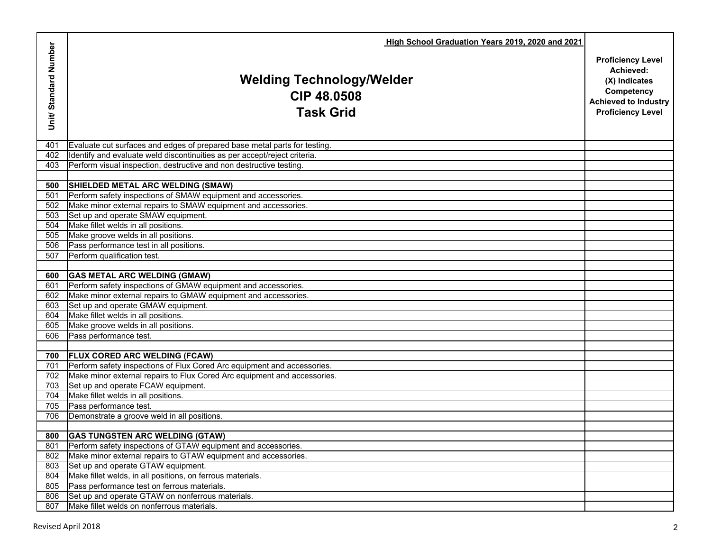|                      | High School Graduation Years 2019, 2020 and 2021                               |                                                                                                                                 |
|----------------------|--------------------------------------------------------------------------------|---------------------------------------------------------------------------------------------------------------------------------|
| Unit/Standard Number | <b>Welding Technology/Welder</b><br><b>CIP 48.0508</b><br><b>Task Grid</b>     | <b>Proficiency Level</b><br>Achieved:<br>(X) Indicates<br>Competency<br><b>Achieved to Industry</b><br><b>Proficiency Level</b> |
| 401                  | Evaluate cut surfaces and edges of prepared base metal parts for testing.      |                                                                                                                                 |
| 402                  | Identify and evaluate weld discontinuities as per accept/reject criteria.      |                                                                                                                                 |
| 403                  | Perform visual inspection, destructive and non destructive testing.            |                                                                                                                                 |
|                      |                                                                                |                                                                                                                                 |
| 500                  | SHIELDED METAL ARC WELDING (SMAW)                                              |                                                                                                                                 |
| 501                  | Perform safety inspections of SMAW equipment and accessories.                  |                                                                                                                                 |
| 502                  | Make minor external repairs to SMAW equipment and accessories.                 |                                                                                                                                 |
| 503                  | Set up and operate SMAW equipment.                                             |                                                                                                                                 |
| 504                  | Make fillet welds in all positions.                                            |                                                                                                                                 |
| 505                  | Make groove welds in all positions.<br>Pass performance test in all positions. |                                                                                                                                 |
| 506<br>507           | Perform qualification test.                                                    |                                                                                                                                 |
|                      |                                                                                |                                                                                                                                 |
| 600                  | <b>GAS METAL ARC WELDING (GMAW)</b>                                            |                                                                                                                                 |
| 601                  | Perform safety inspections of GMAW equipment and accessories.                  |                                                                                                                                 |
| 602                  | Make minor external repairs to GMAW equipment and accessories.                 |                                                                                                                                 |
| 603                  | Set up and operate GMAW equipment.                                             |                                                                                                                                 |
| 604                  | Make fillet welds in all positions.                                            |                                                                                                                                 |
| 605                  | Make groove welds in all positions.                                            |                                                                                                                                 |
| 606                  | Pass performance test.                                                         |                                                                                                                                 |
|                      |                                                                                |                                                                                                                                 |
| 700                  | <b>FLUX CORED ARC WELDING (FCAW)</b>                                           |                                                                                                                                 |
| 701                  | Perform safety inspections of Flux Cored Arc equipment and accessories.        |                                                                                                                                 |
| 702                  | Make minor external repairs to Flux Cored Arc equipment and accessories.       |                                                                                                                                 |
| 703                  | Set up and operate FCAW equipment.                                             |                                                                                                                                 |
| 704                  | Make fillet welds in all positions.                                            |                                                                                                                                 |
| 705                  | Pass performance test.                                                         |                                                                                                                                 |
| 706                  | Demonstrate a groove weld in all positions.                                    |                                                                                                                                 |
|                      |                                                                                |                                                                                                                                 |
|                      | 800 GAS TUNGSTEN ARC WELDING (GTAW)                                            |                                                                                                                                 |
| 801                  | Perform safety inspections of GTAW equipment and accessories.                  |                                                                                                                                 |
| $80\overline{2}$     | Make minor external repairs to GTAW equipment and accessories.                 |                                                                                                                                 |
| 803                  | Set up and operate GTAW equipment.                                             |                                                                                                                                 |
| 804                  | Make fillet welds, in all positions, on ferrous materials.                     |                                                                                                                                 |
| 805                  | Pass performance test on ferrous materials.                                    |                                                                                                                                 |
| 806                  | Set up and operate GTAW on nonferrous materials.                               |                                                                                                                                 |
| 807                  | Make fillet welds on nonferrous materials.                                     |                                                                                                                                 |